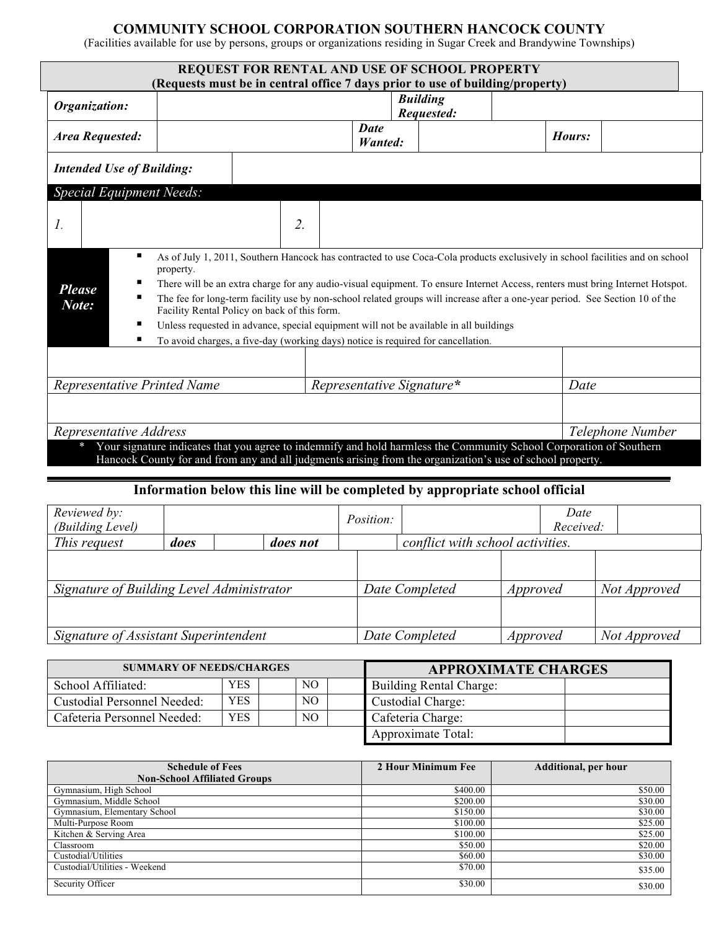## **COMMUNITY SCHOOL CORPORATION SOUTHERN HANCOCK COUNTY**

(Facilities available for use by persons, groups or organizations residing in Sugar Creek and Brandywine Townships)

|                                  |                                 | <b>REQUEST FOR RENTAL AND USE OF SCHOOL PROPERTY</b>                                                                                                                                                                                                                                                                                                                                                                                          |                               |                  |      |        |  |  |
|----------------------------------|---------------------------------|-----------------------------------------------------------------------------------------------------------------------------------------------------------------------------------------------------------------------------------------------------------------------------------------------------------------------------------------------------------------------------------------------------------------------------------------------|-------------------------------|------------------|------|--------|--|--|
|                                  |                                 | (Requests must be in central office 7 days prior to use of building/property)                                                                                                                                                                                                                                                                                                                                                                 |                               |                  |      |        |  |  |
| Organization:                    |                                 | <b>Building</b><br>Requested:                                                                                                                                                                                                                                                                                                                                                                                                                 |                               |                  |      |        |  |  |
| <b>Area Requested:</b>           |                                 |                                                                                                                                                                                                                                                                                                                                                                                                                                               | <b>Date</b><br><b>Wanted:</b> |                  |      | Hours: |  |  |
| <b>Intended Use of Building:</b> |                                 |                                                                                                                                                                                                                                                                                                                                                                                                                                               |                               |                  |      |        |  |  |
|                                  | <b>Special Equipment Needs:</b> |                                                                                                                                                                                                                                                                                                                                                                                                                                               |                               |                  |      |        |  |  |
| $\mathcal{I}$ .                  |                                 | 2.                                                                                                                                                                                                                                                                                                                                                                                                                                            |                               |                  |      |        |  |  |
| <b>Please</b><br>Note:           | п<br>property.<br>п<br>п        | As of July 1, 2011, Southern Hancock has contracted to use Coca-Cola products exclusively in school facilities and on school<br>There will be an extra charge for any audio-visual equipment. To ensure Internet Access, renters must bring Internet Hotspot.<br>The fee for long-term facility use by non-school related groups will increase after a one-year period. See Section 10 of the<br>Facility Rental Policy on back of this form. |                               |                  |      |        |  |  |
|                                  | п                               | Unless requested in advance, special equipment will not be available in all buildings<br>To avoid charges, a five-day (working days) notice is required for cancellation.                                                                                                                                                                                                                                                                     |                               |                  |      |        |  |  |
|                                  |                                 |                                                                                                                                                                                                                                                                                                                                                                                                                                               |                               |                  |      |        |  |  |
| Representative Printed Name      |                                 |                                                                                                                                                                                                                                                                                                                                                                                                                                               | Representative Signature*     |                  | Date |        |  |  |
|                                  |                                 |                                                                                                                                                                                                                                                                                                                                                                                                                                               |                               |                  |      |        |  |  |
| Representative Address           |                                 |                                                                                                                                                                                                                                                                                                                                                                                                                                               |                               | Telephone Number |      |        |  |  |

## **Information below this line will be completed by appropriate school official**

| Reviewed by:<br>(Building Level)          |      |                 | Position: |                                  |              | Date<br>Received: |              |
|-------------------------------------------|------|-----------------|-----------|----------------------------------|--------------|-------------------|--------------|
| This request                              | does | <i>does not</i> |           | conflict with school activities. |              |                   |              |
| Signature of Building Level Administrator |      |                 |           | Date Completed                   | Approved     |                   | Not Approved |
|                                           |      |                 |           |                                  |              |                   |              |
| Signature of Assistant Superintendent     |      | Date Completed  | Approved  |                                  | Not Approved |                   |              |

| <b>SUMMARY OF NEEDS/CHARGES</b>    |            |  |     | <b>APPROXIMATE CHARGES</b> |                                |  |
|------------------------------------|------------|--|-----|----------------------------|--------------------------------|--|
| School Affiliated:                 | <b>YES</b> |  | NO. |                            | <b>Building Rental Charge:</b> |  |
| <b>Custodial Personnel Needed:</b> | <b>YES</b> |  | NO. |                            | Custodial Charge:              |  |
| Cafeteria Personnel Needed:        | <b>YES</b> |  | NO. |                            | Cafeteria Charge:              |  |
|                                    |            |  |     |                            | Approximate Total:             |  |

| <b>Schedule of Fees</b><br><b>Non-School Affiliated Groups</b> | 2 Hour Minimum Fee | <b>Additional, per hour</b> |
|----------------------------------------------------------------|--------------------|-----------------------------|
| Gymnasium, High School                                         | \$400.00           | \$50.00                     |
| Gymnasium, Middle School                                       | \$200.00           | \$30.00                     |
| Gymnasium, Elementary School                                   | \$150.00           | \$30.00                     |
| Multi-Purpose Room                                             | \$100.00           | \$25.00                     |
| Kitchen & Serving Area                                         | \$100.00           | \$25.00                     |
| Classroom                                                      | \$50.00            | \$20.00                     |
| Custodial/Utilities                                            | \$60.00            | \$30.00                     |
| Custodial/Utilities - Weekend                                  | \$70.00            | \$35.00                     |
| Security Officer                                               | \$30.00            | \$30.00                     |